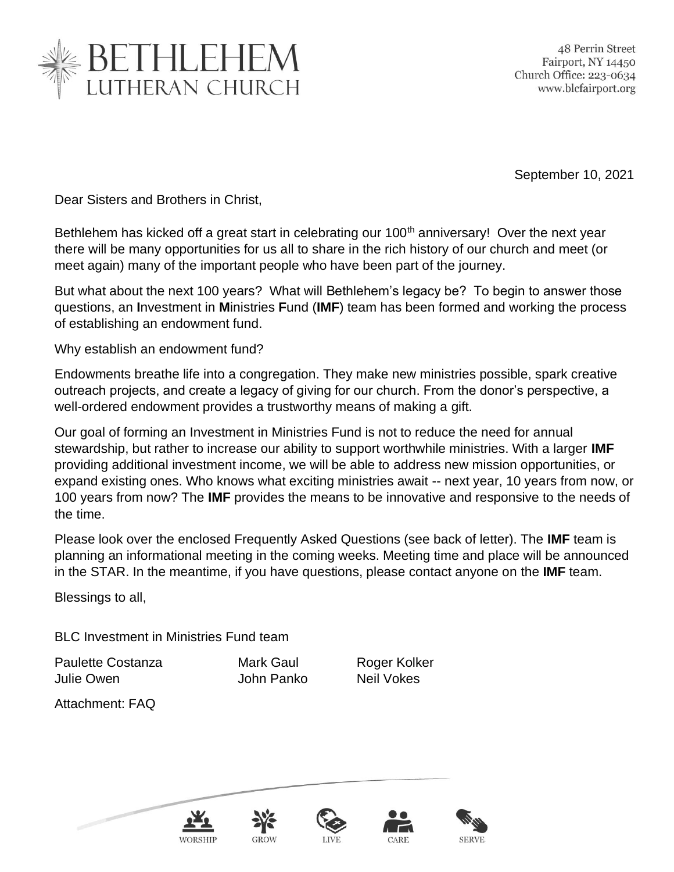

48 Perrin Street Fairport, NY 14450 Church Office: 223-0634 www.blcfairport.org

September 10, 2021

Dear Sisters and Brothers in Christ,

Bethlehem has kicked off a great start in celebrating our 100<sup>th</sup> anniversary! Over the next year there will be many opportunities for us all to share in the rich history of our church and meet (or meet again) many of the important people who have been part of the journey.

But what about the next 100 years? What will Bethlehem's legacy be? To begin to answer those questions, an **I**nvestment in **M**inistries **F**und (**IMF**) team has been formed and working the process of establishing an endowment fund.

Why establish an endowment fund?

Endowments breathe life into a congregation. They make new ministries possible, spark creative outreach projects, and create a legacy of giving for our church. From the donor's perspective, a well-ordered endowment provides a trustworthy means of making a gift.

Our goal of forming an Investment in Ministries Fund is not to reduce the need for annual stewardship, but rather to increase our ability to support worthwhile ministries. With a larger **IMF** providing additional investment income, we will be able to address new mission opportunities, or expand existing ones. Who knows what exciting ministries await -- next year, 10 years from now, or 100 years from now? The **IMF** provides the means to be innovative and responsive to the needs of the time.

Please look over the enclosed Frequently Asked Questions (see back of letter). The **IMF** team is planning an informational meeting in the coming weeks. Meeting time and place will be announced in the STAR. In the meantime, if you have questions, please contact anyone on the **IMF** team.

Blessings to all,

BLC Investment in Ministries Fund team

Paulette Costanza Mark Gaul Roger Kolker Julie Owen John Panko Neil Vokes

Attachment: FAQ